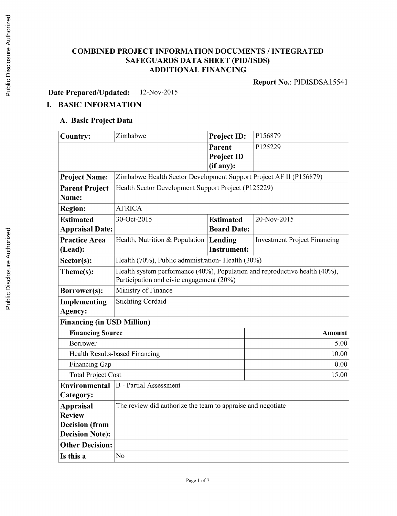# **COMBINED PROJECT INFORMATION DOCUMENTS / INTEGRATED SAFEGUARDS DATA SHEET (PID/ISDS) ADDITIONAL FINANCING**

**Report** No.: **PIDISDSA15541**

**Date Prepared/Updated:** 12-Nov-2015

# **I. BASIC INFORMATION**

### **A. Basic Project Data**

| <b>Country:</b>                   | Zimbabwe                                                                   | <b>Project ID:</b> | P156879                             |  |  |
|-----------------------------------|----------------------------------------------------------------------------|--------------------|-------------------------------------|--|--|
|                                   |                                                                            | Parent             | P125229                             |  |  |
|                                   |                                                                            | <b>Project ID</b>  |                                     |  |  |
|                                   |                                                                            | (if any):          |                                     |  |  |
| <b>Project Name:</b>              | Zimbabwe Health Sector Development Support Project AF II (P156879)         |                    |                                     |  |  |
| <b>Parent Project</b>             | Health Sector Development Support Project (P125229)                        |                    |                                     |  |  |
| Name:                             |                                                                            |                    |                                     |  |  |
| <b>Region:</b>                    | <b>AFRICA</b>                                                              |                    |                                     |  |  |
| <b>Estimated</b>                  | 30-Oct-2015                                                                | <b>Estimated</b>   | 20-Nov-2015                         |  |  |
| <b>Appraisal Date:</b>            |                                                                            | <b>Board Date:</b> |                                     |  |  |
| <b>Practice Area</b>              | Health, Nutrition & Population                                             | Lending            | <b>Investment Project Financing</b> |  |  |
| (Lead):                           |                                                                            | <b>Instrument:</b> |                                     |  |  |
| Sector(s):                        | Health (70%), Public administration- Health (30%)                          |                    |                                     |  |  |
| Theme(s):                         | Health system performance (40%), Population and reproductive health (40%), |                    |                                     |  |  |
|                                   | Participation and civic engagement (20%)                                   |                    |                                     |  |  |
| Borrower(s):                      | Ministry of Finance                                                        |                    |                                     |  |  |
| Implementing                      | <b>Stichting Cordaid</b>                                                   |                    |                                     |  |  |
| Agency:                           |                                                                            |                    |                                     |  |  |
| <b>Financing (in USD Million)</b> |                                                                            |                    |                                     |  |  |
| <b>Financing Source</b>           |                                                                            |                    | Amount                              |  |  |
| Borrower                          |                                                                            |                    | 5.00                                |  |  |
|                                   | Health Results-based Financing                                             |                    | 10.00                               |  |  |
| Financing Gap                     |                                                                            |                    | 0.00                                |  |  |
| <b>Total Project Cost</b>         | 15.00                                                                      |                    |                                     |  |  |
| Environmental                     | <b>B</b> - Partial Assessment                                              |                    |                                     |  |  |
| Category:                         |                                                                            |                    |                                     |  |  |
| <b>Appraisal</b>                  | The review did authorize the team to appraise and negotiate                |                    |                                     |  |  |
| <b>Review</b>                     |                                                                            |                    |                                     |  |  |
| <b>Decision</b> (from             |                                                                            |                    |                                     |  |  |
| <b>Decision Note):</b>            |                                                                            |                    |                                     |  |  |
| <b>Other Decision:</b>            |                                                                            |                    |                                     |  |  |
| Is this a                         | No                                                                         |                    |                                     |  |  |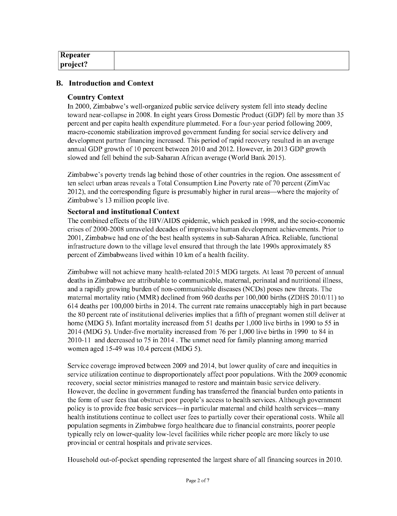| Repeater     |  |
|--------------|--|
| $ $ project? |  |

### **B. Introduction and Context**

### **Country Context**

In 2000, Zimbabwe's well-organized public service delivery system fell into steady decline toward near-collapse in **2008.** In eight years Gross Domestic Product **(GDP)** fell **by** more than *35* percent and per capita health expenditure plummeted. For a four-year period following **2009,** macro-economic stabilization improved government funding for social service delivery and development partner financing increased. This period of rapid recovery resulted in an average annual **GDP** growth of **10** percent between **2010** and 2012. However, in **2013 GDP** growth slowed and fell behind the sub-Saharan African average (World Bank *2015).*

Zimbabwe's poverty trends lag behind those of other countries in the region. One assessment of ten select urban areas reveals a Total Consumption Line Poverty rate of **70** percent (ZimVac 2012), and the corresponding figure is presumably higher in rural areas—where the majority of Zimbabwe's **13** million people live.

### **Sectoral and institutional Context**

The combined effects of the **HIV/AIDS** epidemic, which peaked in **1998,** and the socio-economic crises of **2000-2008** unraveled decades of impressive human development achievements. Prior to **2001,** Zimbabwe had one of the best health systems in sub-Saharan Africa. Reliable, functional infrastructure down to the village level ensured that through the late 1990s approximately **85** percent of Zimbabweans lived within **10** km of a health facility.

Zimbabwe will not achieve many health-related **2015 MDG** targets. At least **70** percent of annual deaths in Zimbabwe are attributable to communicable, maternal, perinatal and nutritional illness, and a rapidly growing burden of non-communicable diseases (NCDs) poses new threats. The maternal mortality ratio (MMR) declined from **960** deaths per **100,000** births (ZDHS **2010/11)** to 614 deaths per **100,000** births in 2014. The current rate remains unacceptably high in part because the **80** percent rate of institutional deliveries implies that a fifth of pregnant women still deliver at home **(MDG** *5).* Infant mortality increased from **51** deaths per **1,000** live births in **1990** to *55* in 2014 **(MDG** *5).* Under-five mortality increased from **76** per **1,000** live births in **1990** to 84 in 2010-11 and decreased to **75** in 2014 . The unmet need for family planning among married women aged 15-49 was 10.4 percent **(MDG** *5).*

Service coverage improved between **2009** and 2014, but lower quality of care and inequities in service utilization continue to disproportionately affect poor populations. With the **2009** economic recovery, social sector ministries managed to restore and maintain basic service delivery. However, the decline in government funding has transferred the financial burden onto patients in the form of user fees that obstruct poor people's access to health services. Although government policy is to provide free basic services-in particular maternal and child health services-many health institutions continue to collect user fees to partially cover their operational costs. While all population segments in Zimbabwe forgo healthcare due to financial constraints, poorer people typically rely on lower-quality low-level facilities while richer people are more likely to use provincial or central hospitals and private services.

Household out-of-pocket spending represented the largest share of all financing sources in **2010.**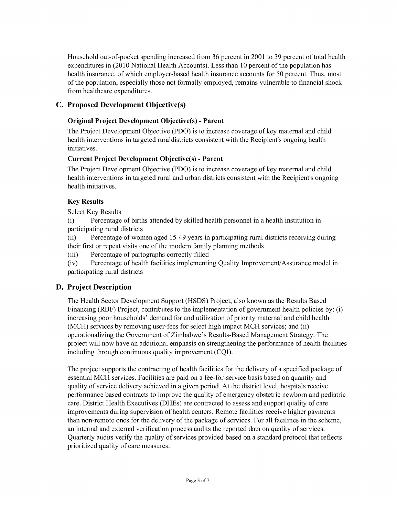Household out-of-pocket spending increased from **36** percent in 2001 to **39** percent of total health expenditures in **(2010** National Health Accounts). Less than **10** percent of the population has health insurance, of which employer-based health insurance accounts for **50** percent. Thus, most of the population, especially those not formally employed, remains vulnerable to financial shock from healthcare expenditures.

# **C. Proposed Development Objective(s)**

# **Original Project Development Objective(s) - Parent**

The Project Development Objective **(PDO)** is to increase coverage of key maternal and child health interventions in targeted ruraldistricts consistent with the Recipient's ongoing health initiatives.

# **Current Project Development Objective(s) - Parent**

The Project Development Objective **(PDO)** is to increase coverage of key maternal and child health interventions in targeted rural and urban districts consistent with the Recipient's ongoing health initiatives.

# **Key Results**

Select Key Results

(i) Percentage of births attended **by** skilled health personnel in a health institution in participating rural districts

(ii) Percentage of women aged *15-49* years in participating rural districts receiving during their first or repeat visits one of the modem family planning methods

(iii) Percentage of partographs correctly filled

(iv) Percentage of health facilities implementing Quality Improvement/Assurance model in participating rural districts

# **D. Project Description**

The Health Sector Development Support **(HSDS)** Project, also known as the Results Based Financing (RBF) Project, contributes to the implementation of government health policies **by:** (i) increasing poor households' demand for and utilization of priority maternal and child health (MCH) services **by** removing user-fees for select high impact MCH services; and (ii) operationalizing the Government of Zimbabwe's Results-Based Management Strategy. The project will now have an additional emphasis on strengthening the performance of health facilities including through continuous quality improvement **(CQI).**

The project supports the contracting of health facilities for the delivery of a specified package of essential MCH services. Facilities are paid on a fee-for-service basis based on quantity and quality of service delivery achieved in a given period. At the district level, hospitals receive performance based contracts to improve the quality of emergency obstetric newborn and pediatric care. District Health Executives (DHEs) are contracted to assess and support quality of care improvements during supervision of health centers. Remote facilities receive higher payments than non-remote ones for the delivery of the package of services. For all facilities in the scheme, an internal and external verification process audits the reported data on quality of services. Quarterly audits verify the quality of services provided based on a standard protocol that reflects prioritized quality of care measures.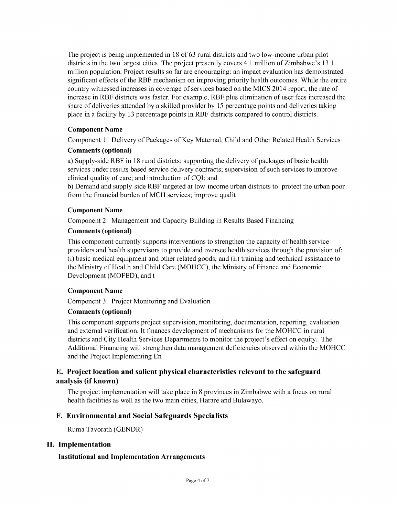The project is being implemented in **18** of **63** rural districts and two low-income urban pilot districts in the two largest cities. The project presently covers 4.1 million of Zimbabwe's **13.1** million population. Project results so far are encouraging: an impact evaluation has demonstrated significant effects of the RBF mechanism on improving priority health outcomes. While the entire country witnessed increases in coverage of services based on the **MICS** 2014 report, the rate of increase in RBF districts was faster. For example, RBF plus elimination of user fees increased the share of deliveries attended **by** a skilled provider **by 15** percentage points and deliveries taking place in a facility **by 13** percentage points in RBF districts compared to control districts.

### **Component Name**

**Component 1:** Delivery of Packages of Key Maternal, Child and Other Related Health Services

#### **Comments (optional)**

**a)** Supply-side RBF in **18** rural districts: supporting the delivery of packages of basic health services under results based service delivery contracts; supervision of such services to improve clinical quality of care; and introduction of **CQI;** and

**b)** Demand and supply-side RBF targeted at low-income urban districts to: protect the urban poor from the financial burden of MCH services; improve qualit

#### **Component Name**

Component 2: Management and Capacity Building in Results Based Financing

### **Comments (optional)**

This component currently supports interventions to strengthen the capacity of health service providers and health supervisors to provide and oversee health services through the provision of: (i) basic medical equipment and other related goods; and (ii) training and technical assistance to the Ministry of Health and Child Care **(MOHCC),** the Ministry of Finance and Economic Development (MOFED), and t

#### **Component Name**

Component **3:** Project Monitoring and Evaluation

#### **Comments (optional)**

This component supports project supervision, monitoring, documentation, reporting, evaluation and external verification. It finances development of mechanisms for the **MOHCC** in rural districts and City Health Services Departments to monitor the project's effect on equity. The Additional Financing will strengthen data management deficiencies observed within the **MOHCC** and the Project Implementing En

# **E. Project location and salient physical characteristics relevant to the safeguard analysis (if known)**

The project implementation will take place in **8** provinces in Zimbabwe with a focus on rural health facilities as well as the two main cities, Harare and Bulawayo.

### **F. Environmental and Social Safeguards Specialists**

Ruma Tavorath **(GENDR)**

#### **II. Implementation**

#### **Institutional and Implementation Arrangements**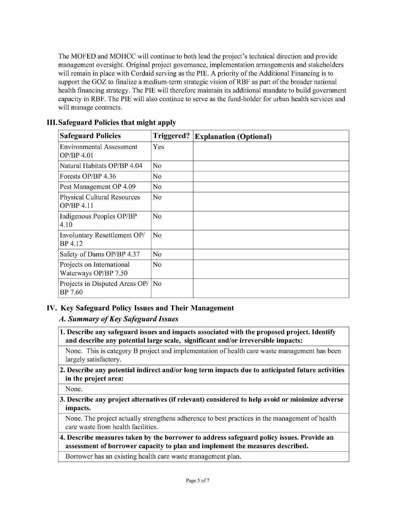The MOFED and **MOHCC** will continue to both lead the project's technical direction and provide management oversight. Original project governance, implementation arrangements and stakeholders will remain in place with Cordaid serving as the PIE. **A** priority of the Additional Financing is to support the GOZ to finalize a medium-term strategic vision of RBF as part of the broader national health financing strategy. The PIE will therefore maintain its additional mandate to build government capacity in RBF. The PIE will also continue to serve as the fund-holder for urban health services and will manage contracts.

| <b>Safeguard Policies</b>                         | Triggered?     | <b>Explanation (Optional)</b> |
|---------------------------------------------------|----------------|-------------------------------|
| <b>Environmental Assessment</b><br>OP/BP 4.01     | Yes            |                               |
| Natural Habitats OP/BP 4.04                       | No             |                               |
| Forests OP/BP 4.36                                | No.            |                               |
| Pest Management OP 4.09                           | No.            |                               |
| <b>Physical Cultural Resources</b><br>OP/BP 4.11  | No             |                               |
| Indigenous Peoples OP/BP<br>4.10                  | No.            |                               |
| Involuntary Resettlement OP/<br>BP 4.12           | N <sub>o</sub> |                               |
| Safety of Dams OP/BP 4.37                         | No.            |                               |
| Projects on International<br>Waterways OP/BP 7.50 | No             |                               |
| Projects in Disputed Areas OP/<br>BP 7.60         | No             |                               |

# **III. Safeguard Policies that might apply**

# **IV. Key Safeguard Policy Issues and Their Management**

### *A. Summary of Key Safeguard Issues*

**1. Describe any safeguard issues and impacts associated with the proposed project. Identify and describe any potential large scale, significant and/or irreversible impacts:**

None. This is category B project and implementation of health care waste management has been largely satisfactory.

### 2. **Describe any potential indirect and/or long term impacts due to anticipated future activities in the project area:**

None.

### **3. Describe any project alternatives (if relevant) considered to help avoid or minimize adverse impacts.**

None. The project actually strengthens adherence to best practices in the management of health care waste from health facilities.

# **4. Describe measures taken by the borrower to address safeguard policy issues. Provide an assessment of borrower capacity to plan and implement the measures described.**

Borrower has an existing health care waste management plan.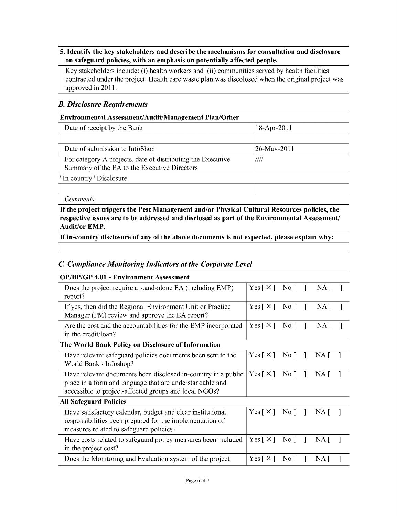### *5.* **Identify the key stakeholders and describe the mechanisms for consultation and disclosure on safeguard policies, with an emphasis on potentially affected people.**

Key stakeholders include: (i) health workers and (ii) communities served **by** health facilities contracted under the project. Health care waste plan was discolosed when the original project was approved in **2011.**

# *B. Disclosure Requirements*

| Environmental Assessment/Audit/Management Plan/Other                                                                                                                                                                 |                |
|----------------------------------------------------------------------------------------------------------------------------------------------------------------------------------------------------------------------|----------------|
| Date of receipt by the Bank                                                                                                                                                                                          | $18$ -Apr-2011 |
|                                                                                                                                                                                                                      |                |
| Date of submission to InfoShop                                                                                                                                                                                       | 26-May-2011    |
| For category A projects, date of distributing the Executive<br>Summary of the EA to the Executive Directors                                                                                                          | ////           |
| "In country" Disclosure                                                                                                                                                                                              |                |
|                                                                                                                                                                                                                      |                |
| Comments:                                                                                                                                                                                                            |                |
| If the project triggers the Pest Management and/or Physical Cultural Resources policies, the<br>respective issues are to be addressed and disclosed as part of the Environmental Assessment/<br><b>Audit/or EMP.</b> |                |

**If in-country disclosure of any of the above documents is not expected, please explain why:**

# *C Compliance Monitoring Indicators at the Corporate Level*

| <b>OP/BP/GP 4.01 - Environment Assessment</b>                                                                                                                                      |                            |                   |                |      |  |
|------------------------------------------------------------------------------------------------------------------------------------------------------------------------------------|----------------------------|-------------------|----------------|------|--|
| Does the project require a stand-alone EA (including EMP)<br>report?                                                                                                               | Yes $\lceil \times \rceil$ | $\rm No$ $\lceil$ | -1             | NA [ |  |
| If yes, then did the Regional Environment Unit or Practice<br>Manager (PM) review and approve the EA report?                                                                       | $Yes \lceil \times \rceil$ | $\rm No$ $\lceil$ | -1             | NA [ |  |
| Are the cost and the accountabilities for the EMP incorporated<br>in the credit/loan?                                                                                              |                            | $\overline{N}$ o  |                | NA [ |  |
| The World Bank Policy on Disclosure of Information                                                                                                                                 |                            |                   |                |      |  |
| Have relevant safeguard policies documents been sent to the<br>World Bank's Infoshop?                                                                                              | Yes $\lceil \times \rceil$ | $\rm No$ $\lceil$ |                | NA [ |  |
| Have relevant documents been disclosed in-country in a public<br>place in a form and language that are understandable and<br>accessible to project-affected groups and local NGOs? | Yes $\lceil \times \rceil$ | $\rm No$ $\lceil$ | -1             | NA I |  |
| <b>All Safeguard Policies</b>                                                                                                                                                      |                            |                   |                |      |  |
| Have satisfactory calendar, budget and clear institutional<br>responsibilities been prepared for the implementation of<br>measures related to safeguard policies?                  | Yes $\lceil \times \rceil$ | $\rm No$ $\lceil$ |                | NA   |  |
| Have costs related to safeguard policy measures been included<br>in the project cost?                                                                                              | Yes [ $\times$ ]           | $\overline{N}$ o  |                | NA [ |  |
| Does the Monitoring and Evaluation system of the project                                                                                                                           |                            | $\overline{N}$ o  | $\blacksquare$ | NA   |  |